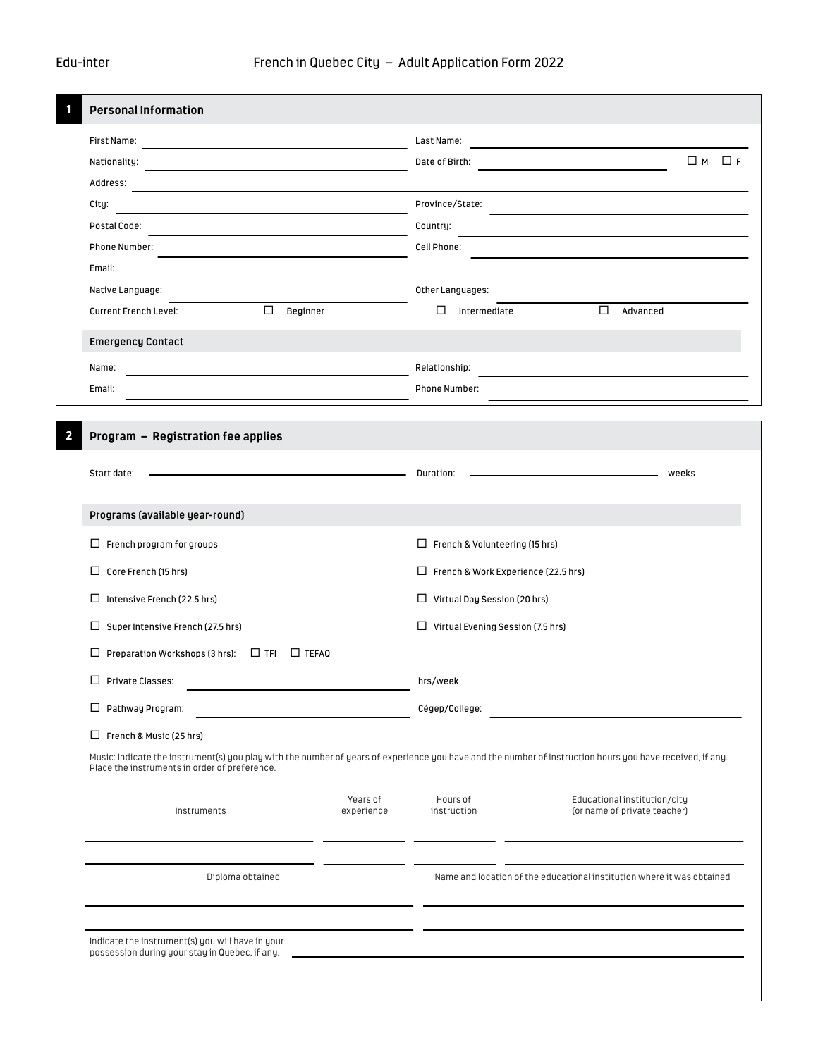| <b>Personal Information</b><br>First Name:<br>Last Name:<br>the control of the control of the control of the control of the control of the control of<br>Nationality:<br>the control of the control of the control of the control of the control of<br>Address:<br>City:<br>Postal Code:<br>Country:<br>Phone Number:<br>Cell Phone:<br>Email:<br>Native Language:<br>$\Box$<br>□<br><b>Current French Level:</b><br>Beginner<br><b>Emergency Contact</b><br>Name:<br><u> 1989 - Johann Barbara, marka a shekara tsa 1989 - An tsa 1989 - An tsa 1989 - An tsa 1989 - An tsa 1989 - An</u><br>Email:<br>Program - Registration fee applies | $\Box$ M<br>$\Box$ F<br>Date of Birth:<br>Province/State:<br>Other Languages:<br>$\Box$<br>Intermediate<br>Advanced<br>Relationship:<br>Phone Number:                           |  |  |  |  |
|--------------------------------------------------------------------------------------------------------------------------------------------------------------------------------------------------------------------------------------------------------------------------------------------------------------------------------------------------------------------------------------------------------------------------------------------------------------------------------------------------------------------------------------------------------------------------------------------------------------------------------------------|---------------------------------------------------------------------------------------------------------------------------------------------------------------------------------|--|--|--|--|
|                                                                                                                                                                                                                                                                                                                                                                                                                                                                                                                                                                                                                                            |                                                                                                                                                                                 |  |  |  |  |
|                                                                                                                                                                                                                                                                                                                                                                                                                                                                                                                                                                                                                                            |                                                                                                                                                                                 |  |  |  |  |
|                                                                                                                                                                                                                                                                                                                                                                                                                                                                                                                                                                                                                                            |                                                                                                                                                                                 |  |  |  |  |
|                                                                                                                                                                                                                                                                                                                                                                                                                                                                                                                                                                                                                                            |                                                                                                                                                                                 |  |  |  |  |
|                                                                                                                                                                                                                                                                                                                                                                                                                                                                                                                                                                                                                                            |                                                                                                                                                                                 |  |  |  |  |
|                                                                                                                                                                                                                                                                                                                                                                                                                                                                                                                                                                                                                                            |                                                                                                                                                                                 |  |  |  |  |
|                                                                                                                                                                                                                                                                                                                                                                                                                                                                                                                                                                                                                                            |                                                                                                                                                                                 |  |  |  |  |
|                                                                                                                                                                                                                                                                                                                                                                                                                                                                                                                                                                                                                                            |                                                                                                                                                                                 |  |  |  |  |
|                                                                                                                                                                                                                                                                                                                                                                                                                                                                                                                                                                                                                                            |                                                                                                                                                                                 |  |  |  |  |
|                                                                                                                                                                                                                                                                                                                                                                                                                                                                                                                                                                                                                                            |                                                                                                                                                                                 |  |  |  |  |
|                                                                                                                                                                                                                                                                                                                                                                                                                                                                                                                                                                                                                                            |                                                                                                                                                                                 |  |  |  |  |
|                                                                                                                                                                                                                                                                                                                                                                                                                                                                                                                                                                                                                                            |                                                                                                                                                                                 |  |  |  |  |
|                                                                                                                                                                                                                                                                                                                                                                                                                                                                                                                                                                                                                                            |                                                                                                                                                                                 |  |  |  |  |
|                                                                                                                                                                                                                                                                                                                                                                                                                                                                                                                                                                                                                                            |                                                                                                                                                                                 |  |  |  |  |
|                                                                                                                                                                                                                                                                                                                                                                                                                                                                                                                                                                                                                                            |                                                                                                                                                                                 |  |  |  |  |
|                                                                                                                                                                                                                                                                                                                                                                                                                                                                                                                                                                                                                                            |                                                                                                                                                                                 |  |  |  |  |
| <b>Example 2018 Duration: Duration:</b><br>Start date:                                                                                                                                                                                                                                                                                                                                                                                                                                                                                                                                                                                     | weeks<br>$\Box$ French & Volunteering (15 hrs)<br>$\Box$ French & Work Experience (22.5 hrs)<br>$\Box$ Virtual Day Session (20 hrs)<br>$\Box$ Virtual Evening Session (7.5 hrs) |  |  |  |  |
| Programs (available year-round)                                                                                                                                                                                                                                                                                                                                                                                                                                                                                                                                                                                                            |                                                                                                                                                                                 |  |  |  |  |
| $\Box$ French program for groups                                                                                                                                                                                                                                                                                                                                                                                                                                                                                                                                                                                                           |                                                                                                                                                                                 |  |  |  |  |
| Core French (15 hrs)                                                                                                                                                                                                                                                                                                                                                                                                                                                                                                                                                                                                                       |                                                                                                                                                                                 |  |  |  |  |
| Intensive French (22.5 hrs)                                                                                                                                                                                                                                                                                                                                                                                                                                                                                                                                                                                                                |                                                                                                                                                                                 |  |  |  |  |
| Super Intensive French (27.5 hrs)                                                                                                                                                                                                                                                                                                                                                                                                                                                                                                                                                                                                          |                                                                                                                                                                                 |  |  |  |  |
| Preparation Workshops (3 hrs): $\Box$ TFI<br>□<br>$\square$ TEFAQ                                                                                                                                                                                                                                                                                                                                                                                                                                                                                                                                                                          |                                                                                                                                                                                 |  |  |  |  |
| <b>Private Classes:</b>                                                                                                                                                                                                                                                                                                                                                                                                                                                                                                                                                                                                                    | hrs/week<br>Cégep/College:                                                                                                                                                      |  |  |  |  |
| $\Box$ Pathway Program:                                                                                                                                                                                                                                                                                                                                                                                                                                                                                                                                                                                                                    |                                                                                                                                                                                 |  |  |  |  |
| $\Box$ French & Music (25 hrs)                                                                                                                                                                                                                                                                                                                                                                                                                                                                                                                                                                                                             |                                                                                                                                                                                 |  |  |  |  |
| Music: Indicate the instrument(s) you play with the number of years of experience you have and the number of instruction hours you have received, if any.<br>Place the instruments in order of preference.                                                                                                                                                                                                                                                                                                                                                                                                                                 |                                                                                                                                                                                 |  |  |  |  |
| Years of<br>Instruments<br>experience                                                                                                                                                                                                                                                                                                                                                                                                                                                                                                                                                                                                      | Educational institution/city<br>Hours of<br>instruction<br>(or name of private teacher)                                                                                         |  |  |  |  |
|                                                                                                                                                                                                                                                                                                                                                                                                                                                                                                                                                                                                                                            |                                                                                                                                                                                 |  |  |  |  |
| Diploma obtained                                                                                                                                                                                                                                                                                                                                                                                                                                                                                                                                                                                                                           | Name and location of the educational institution where it was obtained                                                                                                          |  |  |  |  |
| Indicate the instrument(s) you will have in your                                                                                                                                                                                                                                                                                                                                                                                                                                                                                                                                                                                           |                                                                                                                                                                                 |  |  |  |  |
| possession during your stay in Quebec, if any.                                                                                                                                                                                                                                                                                                                                                                                                                                                                                                                                                                                             |                                                                                                                                                                                 |  |  |  |  |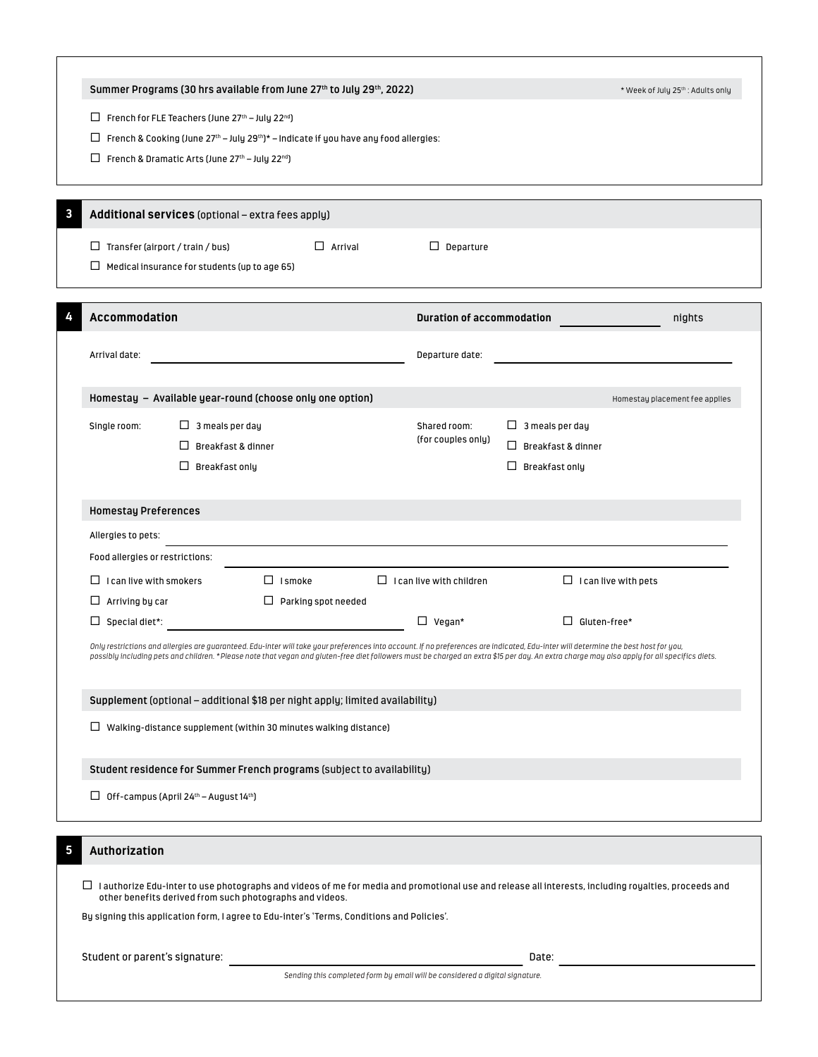|                                                                                                                                               | Summer Programs (30 hrs available from June 27th to July 29th, 2022)                                                                                                                                                                                                                                                                                                               |                            |                                 |                                                                                                                                                                                                                                                         | * Week of July 25th: Adults only |  |  |  |
|-----------------------------------------------------------------------------------------------------------------------------------------------|------------------------------------------------------------------------------------------------------------------------------------------------------------------------------------------------------------------------------------------------------------------------------------------------------------------------------------------------------------------------------------|----------------------------|---------------------------------|---------------------------------------------------------------------------------------------------------------------------------------------------------------------------------------------------------------------------------------------------------|----------------------------------|--|--|--|
|                                                                                                                                               |                                                                                                                                                                                                                                                                                                                                                                                    |                            |                                 |                                                                                                                                                                                                                                                         |                                  |  |  |  |
|                                                                                                                                               | $\Box$ French for FLE Teachers (June 27 <sup>th</sup> – July 22 <sup>nd</sup> )<br>ப                                                                                                                                                                                                                                                                                               |                            |                                 |                                                                                                                                                                                                                                                         |                                  |  |  |  |
| French & Cooking (June $27th - July 29th * – Indicate if you have any food allergies:$<br>French & Dramatic Arts (June 27th - July 22nd)<br>ப |                                                                                                                                                                                                                                                                                                                                                                                    |                            |                                 |                                                                                                                                                                                                                                                         |                                  |  |  |  |
|                                                                                                                                               |                                                                                                                                                                                                                                                                                                                                                                                    |                            |                                 |                                                                                                                                                                                                                                                         |                                  |  |  |  |
|                                                                                                                                               |                                                                                                                                                                                                                                                                                                                                                                                    |                            |                                 |                                                                                                                                                                                                                                                         |                                  |  |  |  |
| 3                                                                                                                                             | Additional services (optional - extra fees apply)                                                                                                                                                                                                                                                                                                                                  |                            |                                 |                                                                                                                                                                                                                                                         |                                  |  |  |  |
|                                                                                                                                               | $\Box$ Transfer (airport / train / bus)                                                                                                                                                                                                                                                                                                                                            | $\Box$ Arrival             | $\Box$ Departure                |                                                                                                                                                                                                                                                         |                                  |  |  |  |
|                                                                                                                                               | $\Box$ Medical insurance for students (up to age 65)                                                                                                                                                                                                                                                                                                                               |                            |                                 |                                                                                                                                                                                                                                                         |                                  |  |  |  |
|                                                                                                                                               |                                                                                                                                                                                                                                                                                                                                                                                    |                            |                                 |                                                                                                                                                                                                                                                         |                                  |  |  |  |
|                                                                                                                                               | <b>Accommodation</b>                                                                                                                                                                                                                                                                                                                                                               |                            |                                 |                                                                                                                                                                                                                                                         | nights                           |  |  |  |
|                                                                                                                                               |                                                                                                                                                                                                                                                                                                                                                                                    |                            |                                 |                                                                                                                                                                                                                                                         |                                  |  |  |  |
|                                                                                                                                               | Arrival date:                                                                                                                                                                                                                                                                                                                                                                      |                            |                                 |                                                                                                                                                                                                                                                         |                                  |  |  |  |
|                                                                                                                                               | Homestay - Available year-round (choose only one option)                                                                                                                                                                                                                                                                                                                           |                            |                                 |                                                                                                                                                                                                                                                         |                                  |  |  |  |
|                                                                                                                                               | $\Box$ 3 meals per day<br>Single room:                                                                                                                                                                                                                                                                                                                                             |                            |                                 |                                                                                                                                                                                                                                                         |                                  |  |  |  |
|                                                                                                                                               | Breakfast & dinner<br>П                                                                                                                                                                                                                                                                                                                                                            |                            | (for couples only)              | $\Box$ Breakfast & dinner                                                                                                                                                                                                                               |                                  |  |  |  |
|                                                                                                                                               | $\Box$ Breakfast only                                                                                                                                                                                                                                                                                                                                                              |                            |                                 | $\Box$ Breakfast only                                                                                                                                                                                                                                   |                                  |  |  |  |
|                                                                                                                                               |                                                                                                                                                                                                                                                                                                                                                                                    |                            |                                 |                                                                                                                                                                                                                                                         |                                  |  |  |  |
|                                                                                                                                               | <b>Homestay Preferences</b>                                                                                                                                                                                                                                                                                                                                                        |                            |                                 |                                                                                                                                                                                                                                                         |                                  |  |  |  |
|                                                                                                                                               | Allergies to pets:                                                                                                                                                                                                                                                                                                                                                                 |                            |                                 |                                                                                                                                                                                                                                                         |                                  |  |  |  |
|                                                                                                                                               | Food allergies or restrictions:                                                                                                                                                                                                                                                                                                                                                    |                            |                                 |                                                                                                                                                                                                                                                         |                                  |  |  |  |
|                                                                                                                                               | I can live with smokers<br>⊔                                                                                                                                                                                                                                                                                                                                                       | $\Box$ Ismoke              | $\Box$ I can live with children |                                                                                                                                                                                                                                                         |                                  |  |  |  |
|                                                                                                                                               | Arriving by car<br>ப                                                                                                                                                                                                                                                                                                                                                               | $\Box$ Parking spot needed |                                 |                                                                                                                                                                                                                                                         |                                  |  |  |  |
|                                                                                                                                               | Special diet*:<br>ப                                                                                                                                                                                                                                                                                                                                                                |                            | $\Box$ Vegan*                   | $\Box$ Gluten-free*                                                                                                                                                                                                                                     |                                  |  |  |  |
|                                                                                                                                               | Only restrictions and allergies are guaranteed. Edu-inter will take your preferences into account. If no preferences are indicated, Edu-inter will determine the best host for you,<br>possibly including pets and children. *Please note that vegan and gluten-free diet followers must be charged an extra \$15 per day. An extra charge may also apply for all specifics diets. |                            |                                 |                                                                                                                                                                                                                                                         |                                  |  |  |  |
|                                                                                                                                               |                                                                                                                                                                                                                                                                                                                                                                                    |                            |                                 |                                                                                                                                                                                                                                                         |                                  |  |  |  |
|                                                                                                                                               | Supplement (optional - additional \$18 per night apply; limited availability)                                                                                                                                                                                                                                                                                                      |                            |                                 |                                                                                                                                                                                                                                                         |                                  |  |  |  |
|                                                                                                                                               | $\Box$ Walking-distance supplement (within 30 minutes walking distance)                                                                                                                                                                                                                                                                                                            |                            |                                 |                                                                                                                                                                                                                                                         |                                  |  |  |  |
|                                                                                                                                               |                                                                                                                                                                                                                                                                                                                                                                                    |                            |                                 |                                                                                                                                                                                                                                                         |                                  |  |  |  |
|                                                                                                                                               | Student residence for Summer French programs (subject to availability)                                                                                                                                                                                                                                                                                                             |                            |                                 |                                                                                                                                                                                                                                                         |                                  |  |  |  |
|                                                                                                                                               | $\Box$ Off-campus (April 24 <sup>th</sup> – August 14 <sup>th</sup> )                                                                                                                                                                                                                                                                                                              |                            |                                 |                                                                                                                                                                                                                                                         |                                  |  |  |  |
|                                                                                                                                               |                                                                                                                                                                                                                                                                                                                                                                                    |                            |                                 |                                                                                                                                                                                                                                                         |                                  |  |  |  |
| 5                                                                                                                                             | Authorization                                                                                                                                                                                                                                                                                                                                                                      |                            |                                 |                                                                                                                                                                                                                                                         |                                  |  |  |  |
|                                                                                                                                               |                                                                                                                                                                                                                                                                                                                                                                                    |                            |                                 | <b>Duration of accommodation</b><br>Departure date:<br>Homestay placement fee applies<br>$\Box$ 3 meals per day<br>Shared room:<br>$\Box$ I can live with pets<br>Date:<br>Sending this completed form by email will be considered a digital signature. |                                  |  |  |  |
|                                                                                                                                               | $\Box$ I authorize Edu-inter to use photographs and videos of me for media and promotional use and release all interests, including royalties, proceeds and<br>other benefits derived from such photographs and videos.                                                                                                                                                            |                            |                                 |                                                                                                                                                                                                                                                         |                                  |  |  |  |
|                                                                                                                                               | By signing this application form, I agree to Edu-inter's 'Terms, Conditions and Policies'.                                                                                                                                                                                                                                                                                         |                            |                                 |                                                                                                                                                                                                                                                         |                                  |  |  |  |
|                                                                                                                                               |                                                                                                                                                                                                                                                                                                                                                                                    |                            |                                 |                                                                                                                                                                                                                                                         |                                  |  |  |  |
|                                                                                                                                               | Student or parent's signature:                                                                                                                                                                                                                                                                                                                                                     |                            |                                 |                                                                                                                                                                                                                                                         |                                  |  |  |  |
|                                                                                                                                               |                                                                                                                                                                                                                                                                                                                                                                                    |                            |                                 |                                                                                                                                                                                                                                                         |                                  |  |  |  |